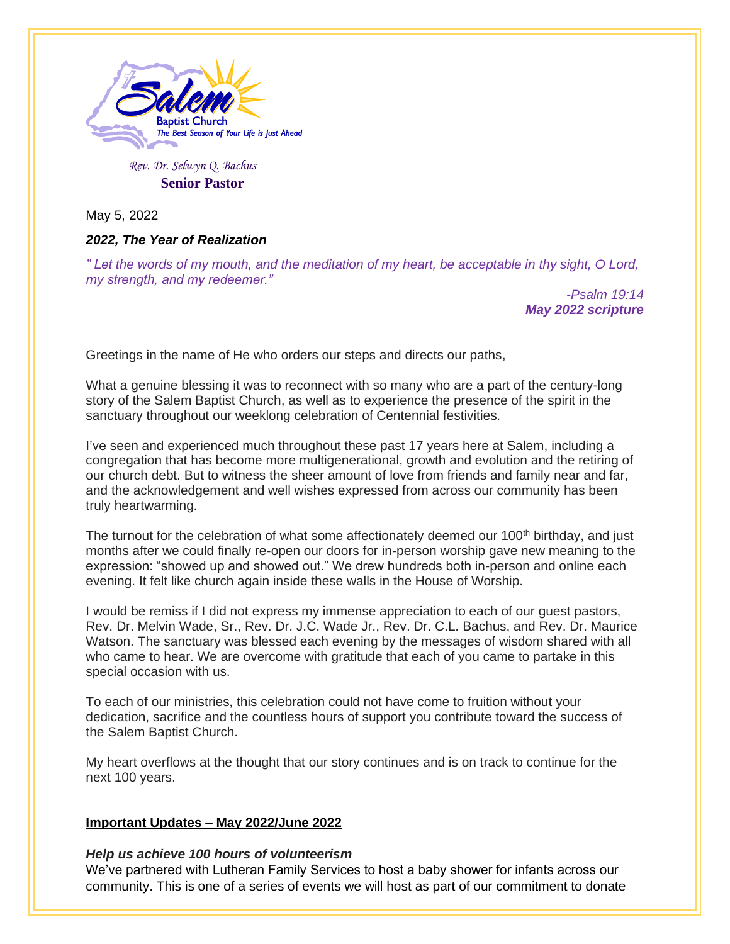

*Rev. Dr. Selwyn Q. Bachus*  **Senior Pastor**

May 5, 2022

# *2022, The Year of Realization*

*" Let the words of my mouth, and the meditation of my heart, be acceptable in thy sight, O Lord, my strength, and my redeemer."*

> *-Psalm 19:14 May 2022 scripture*

Greetings in the name of He who orders our steps and directs our paths,

What a genuine blessing it was to reconnect with so many who are a part of the century-long story of the Salem Baptist Church, as well as to experience the presence of the spirit in the sanctuary throughout our weeklong celebration of Centennial festivities.

I've seen and experienced much throughout these past 17 years here at Salem, including a congregation that has become more multigenerational, growth and evolution and the retiring of our church debt. But to witness the sheer amount of love from friends and family near and far, and the acknowledgement and well wishes expressed from across our community has been truly heartwarming.

The turnout for the celebration of what some affectionately deemed our  $100<sup>th</sup>$  birthday, and just months after we could finally re-open our doors for in-person worship gave new meaning to the expression: "showed up and showed out." We drew hundreds both in-person and online each evening. It felt like church again inside these walls in the House of Worship.

I would be remiss if I did not express my immense appreciation to each of our guest pastors, Rev. Dr. Melvin Wade, Sr., Rev. Dr. J.C. Wade Jr., Rev. Dr. C.L. Bachus, and Rev. Dr. Maurice Watson. The sanctuary was blessed each evening by the messages of wisdom shared with all who came to hear. We are overcome with gratitude that each of you came to partake in this special occasion with us.

To each of our ministries, this celebration could not have come to fruition without your dedication, sacrifice and the countless hours of support you contribute toward the success of the Salem Baptist Church.

My heart overflows at the thought that our story continues and is on track to continue for the next 100 years.

## **Important Updates – May 2022/June 2022**

# *Help us achieve 100 hours of volunteerism*

We've partnered with Lutheran Family Services to host a baby shower for infants across our community. This is one of a series of events we will host as part of our commitment to donate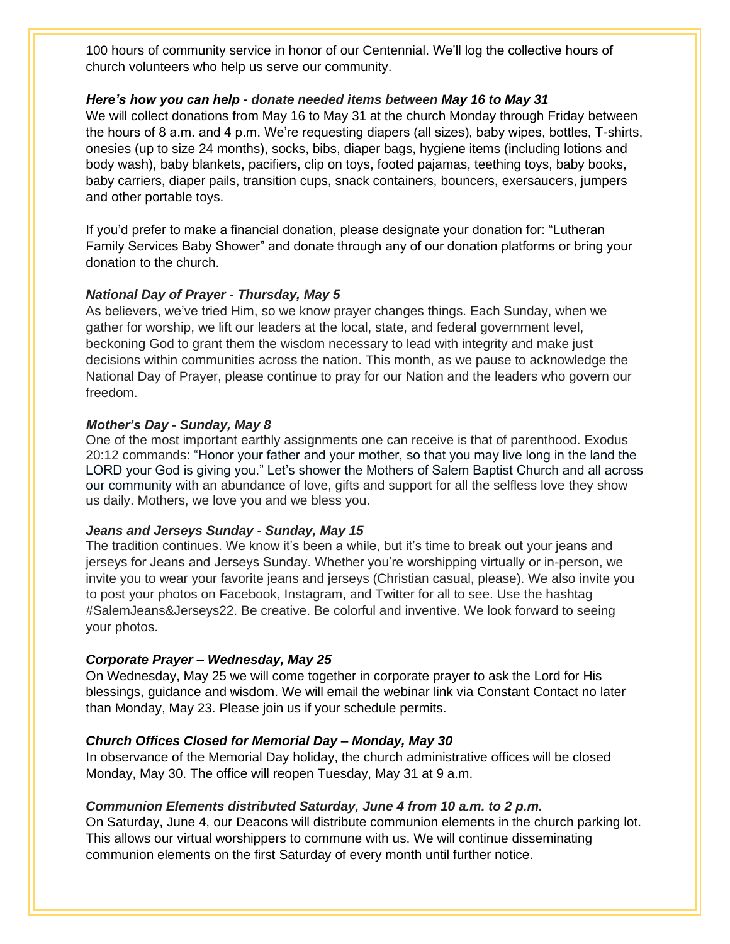100 hours of community service in honor of our Centennial. We'll log the collective hours of church volunteers who help us serve our community.

## *Here's how you can help - donate needed items between May 16 to May 31*

We will collect donations from May 16 to May 31 at the church Monday through Friday between the hours of 8 a.m. and 4 p.m. We're requesting diapers (all sizes), baby wipes, bottles, T-shirts, onesies (up to size 24 months), socks, bibs, diaper bags, hygiene items (including lotions and body wash), baby blankets, pacifiers, clip on toys, footed pajamas, teething toys, baby books, baby carriers, diaper pails, transition cups, snack containers, bouncers, exersaucers, jumpers and other portable toys.

If you'd prefer to make a financial donation, please designate your donation for: "Lutheran Family Services Baby Shower" and donate through any of our donation platforms or bring your donation to the church.

#### *National Day of Prayer - Thursday, May 5*

As believers, we've tried Him, so we know prayer changes things. Each Sunday, when we gather for worship, we lift our leaders at the local, state, and federal government level, beckoning God to grant them the wisdom necessary to lead with integrity and make just decisions within communities across the nation. This month, as we pause to acknowledge the National Day of Prayer, please continue to pray for our Nation and the leaders who govern our freedom.

#### *Mother's Day - Sunday, May 8*

One of the most important earthly assignments one can receive is that of parenthood. Exodus 20:12 commands: "Honor your father and your mother, so that you may live long in the land the LORD your God is giving you." Let's shower the Mothers of Salem Baptist Church and all across our community with an abundance of love, gifts and support for all the selfless love they show us daily. Mothers, we love you and we bless you.

#### *Jeans and Jerseys Sunday - Sunday, May 15*

The tradition continues. We know it's been a while, but it's time to break out your jeans and jerseys for Jeans and Jerseys Sunday. Whether you're worshipping virtually or in-person, we invite you to wear your favorite jeans and jerseys (Christian casual, please). We also invite you to post your photos on Facebook, Instagram, and Twitter for all to see. Use the hashtag #SalemJeans&Jerseys22. Be creative. Be colorful and inventive. We look forward to seeing your photos.

#### *Corporate Prayer – Wednesday, May 25*

On Wednesday, May 25 we will come together in corporate prayer to ask the Lord for His blessings, guidance and wisdom. We will email the webinar link via Constant Contact no later than Monday, May 23. Please join us if your schedule permits.

# *Church Offices Closed for Memorial Day – Monday, May 30*

In observance of the Memorial Day holiday, the church administrative offices will be closed Monday, May 30. The office will reopen Tuesday, May 31 at 9 a.m.

# *Communion Elements distributed Saturday, June 4 from 10 a.m. to 2 p.m.*

On Saturday, June 4, our Deacons will distribute communion elements in the church parking lot. This allows our virtual worshippers to commune with us. We will continue disseminating communion elements on the first Saturday of every month until further notice.